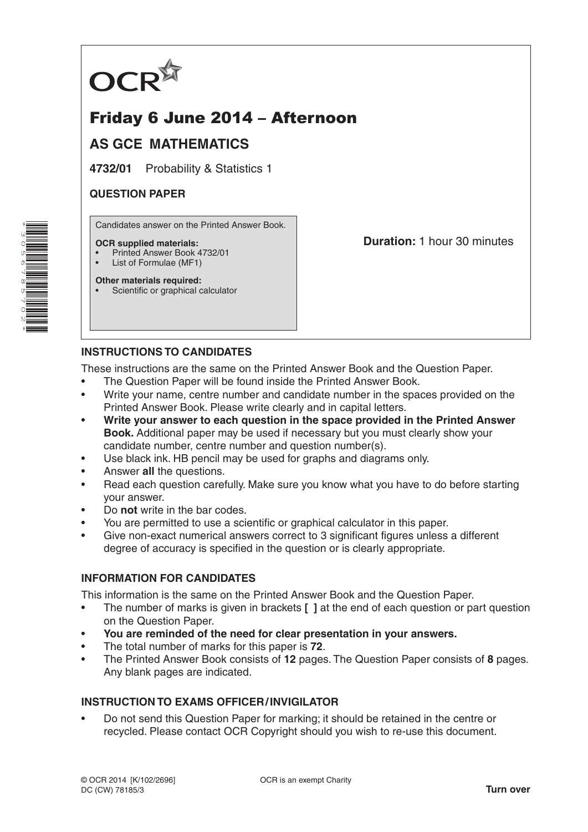

# Friday 6 June 2014 – Afternoon

## **AS GCE MATHEMATICS**

**4732/01** Probability & Statistics 1

#### **QUESTION PAPER**

Candidates answer on the Printed Answer Book.

#### **OCR supplied materials:**

- Printed Answer Book 4732/01
- List of Formulae (MF1)

**Duration:** 1 hour 30 minutes

#### **Other materials required:** Scientific or graphical calculator

### **INSTRUCTIONS TO CANDIDATES**

These instructions are the same on the Printed Answer Book and the Question Paper.

- The Question Paper will be found inside the Printed Answer Book.
- Write your name, centre number and candidate number in the spaces provided on the Printed Answer Book. Please write clearly and in capital letters.
- **Write your answer to each question in the space provided in the Printed Answer Book.** Additional paper may be used if necessary but you must clearly show your candidate number, centre number and question number(s).
- Use black ink. HB pencil may be used for graphs and diagrams only.
- Answer **all** the questions.
- Read each question carefully. Make sure you know what you have to do before starting your answer.
- Do **not** write in the bar codes.
- You are permitted to use a scientific or graphical calculator in this paper.
- Give non-exact numerical answers correct to 3 significant figures unless a different degree of accuracy is specified in the question or is clearly appropriate.

### **INFORMATION FOR CANDIDATES**

This information is the same on the Printed Answer Book and the Question Paper.

- The number of marks is given in brackets **[ ]** at the end of each question or part question on the Question Paper.
- **You are reminded of the need for clear presentation in your answers.**
- The total number of marks for this paper is **72**.
- The Printed Answer Book consists of **12** pages. The Question Paper consists of **8** pages. Any blank pages are indicated.

### **INSTRUCTION TO EXAMS OFFICER/INVIGILATOR**

• Do not send this Question Paper for marking; it should be retained in the centre or recycled. Please contact OCR Copyright should you wish to re-use this document.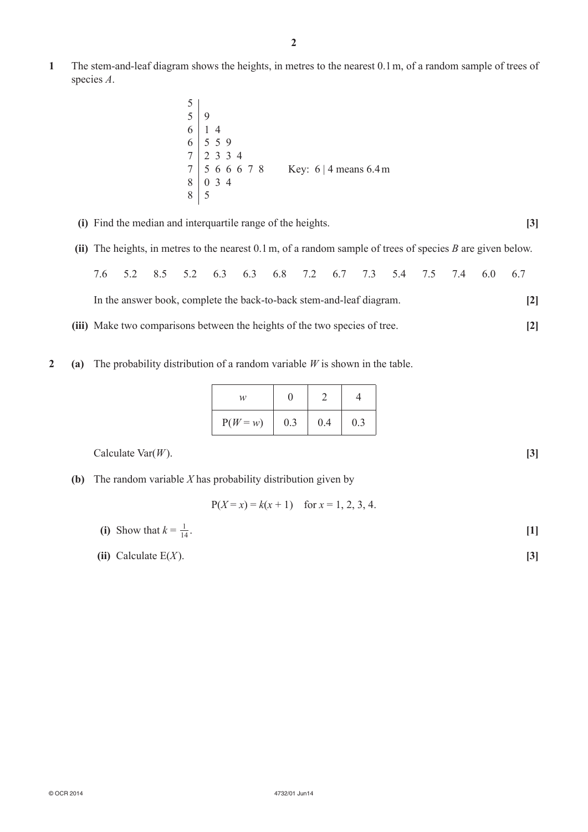**1**  The stem-and-leaf diagram shows the heights, in metres to the nearest 0.1m, of a random sample of trees of species *A*.

> 5 5 9 6 1 4 6 5 5 9 7 2 3 3 4 5 5 9<br>
> 2 3 3 4<br>
> 5 6 6 6 7 8 Key: 6 | 4 means 6.4m 8 0 3 4  $8 \mid 5$

**(i)** Find the median and interquartile range of the heights. **[3]** 

**(ii)** The heights, in metres to the nearest 0.1m, of a random sample of trees of species *B* are given below.

|  | 7.6 5.2 8.5 5.2 6.3 6.3 6.8 7.2 6.7 7.3 5.4 7.5 7.4 6.0 6.7 |  |  |  |  |  |  |
|--|-------------------------------------------------------------|--|--|--|--|--|--|
|  |                                                             |  |  |  |  |  |  |

In the answer book, complete the back-to-back stem-and-leaf diagram. **[2]** 

- **(iii)** Make two comparisons between the heights of the two species of tree. **[2]**
- **2** (a) The probability distribution of a random variable *W* is shown in the table.

| w          |     |     |     |
|------------|-----|-----|-----|
| $P(W = w)$ | 0.3 | 0.4 | 0.3 |

 $\text{Calculate } \text{Var}(W)$ . [3]

**(b)** The random variable *X* has probability distribution given by

$$
P(X = x) = k(x + 1) \quad \text{for } x = 1, 2, 3, 4.
$$

- **(i)** Show that  $k = \frac{1}{14}$ .  $\frac{1}{14}$ . [1]
- $\textbf{(ii)}$  Calculate E(*X*). **[3]**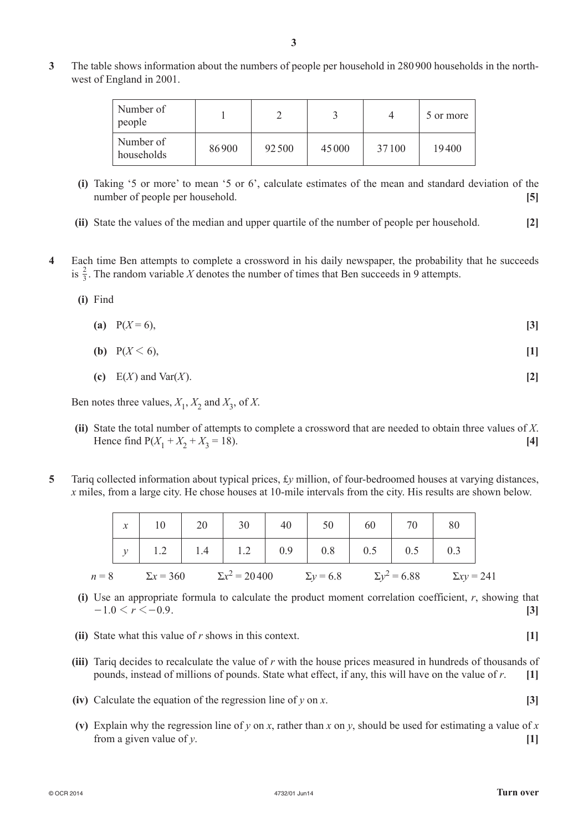**3**  The table shows information about the numbers of people per household in 280900 households in the northwest of England in 2001.

| Number of<br>people     |       |       |       |       | 5 or more |
|-------------------------|-------|-------|-------|-------|-----------|
| Number of<br>households | 86900 | 92500 | 45000 | 37100 | 19400     |

- **(i)** Taking '5 or more' to mean '5 or 6', calculate estimates of the mean and standard deviation of the number of people per household. **[5] [5]**
- **(ii)** State the values of the median and upper quartile of the number of people per household. **[2]**
- **4**  Each time Ben attempts to complete a crossword in his daily newspaper, the probability that he succeeds is  $\frac{2}{3}$ . The random variable *X* denotes the number of times that Ben succeeds in 9 attempts.
	- **(i)**  Find

| (a) $P(X=6)$ , | [3] |
|----------------|-----|

- **(b)**  $P(X \le 6)$ , [1]
- **(c)** E(*X*) and Var(*X*). **[2]**

Ben notes three values,  $X_1$ ,  $X_2$  and  $X_3$ , of *X*.

- **(ii)** State the total number of attempts to complete a crossword that are needed to obtain three values of *X*. Hence find  $P(X_1 + X_2 + X_3 = 18)$ . [4]
- **5**  Tariq collected information about typical prices, £*y* million, of four-bedroomed houses at varying distances, *x* miles, from a large city. He chose houses at 10-mile intervals from the city. His results are shown below.

|         | $\boldsymbol{x}$ |                  | 30                   | 40  | 50               | 60 | 70                  |                   |  |
|---------|------------------|------------------|----------------------|-----|------------------|----|---------------------|-------------------|--|
|         |                  |                  | $\overline{1}$ .     | 0.9 | 0.8              |    |                     |                   |  |
| $n = 8$ |                  | $\Sigma x = 360$ | $\Sigma x^2 = 20400$ |     | $\Sigma y = 6.8$ |    | $\Sigma y^2 = 6.88$ | $\Sigma xy = 241$ |  |

- $(i)$  Use an appropriate formula to calculate the product moment correlation coefficient,  $r$ , showing that  $-1.0 \le r \le -0.9$ . [3]
- **(ii)** State what this value of *r* shows in this context. **[1]**
- **(iii)** Tariq decides to recalculate the value of *r* with the house prices measured in hundreds of thousands of pounds, instead of millions of pounds. State what effect, if any, this will have on the value of *r*. **[1]**
- **(iv)** Calculate the equation of the regression line of *y* on *x*. [3]
- **(v)** Explain why the regression line of *y* on *x*, rather than *x* on *y*, should be used for estimating a value of *x* from a given value of *y*. **[1]**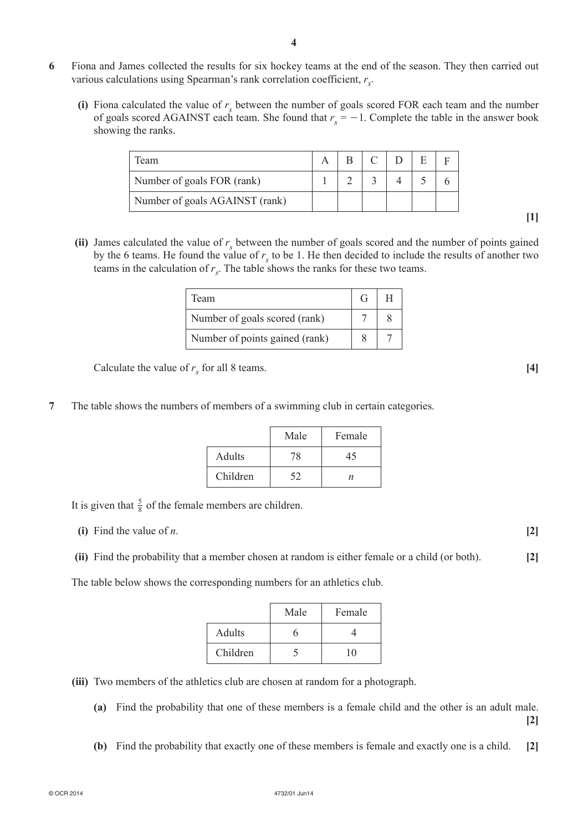- **6**  Fiona and James collected the results for six hockey teams at the end of the season. They then carried out various calculations using Spearman's rank correlation coefficient, *rs* .
- **(i)** Fiona calculated the value of  $r<sub>s</sub>$  between the number of goals scored FOR each team and the number of goals scored AGAINST each team. She found that  $r_s = -1$ . Complete the table in the answer book showing the ranks.

| Team                           |  |  |  |
|--------------------------------|--|--|--|
| Number of goals FOR (rank)     |  |  |  |
| Number of goals AGAINST (rank) |  |  |  |

**[1]**

**(ii)** James calculated the value of  $r<sub>s</sub>$  between the number of goals scored and the number of points gained by the 6 teams. He found the value of  $r<sub>s</sub>$  to be 1. He then decided to include the results of another two teams in the calculation of  $r<sub>s</sub>$ . The table shows the ranks for these two teams.

| Team                           | 6 |  |
|--------------------------------|---|--|
| Number of goals scored (rank)  |   |  |
| Number of points gained (rank) |   |  |

Calculate the value of  $r_s$  for all 8 teams.  $\begin{bmatrix} 4 \end{bmatrix}$ 

**7**  The table shows the numbers of members of a swimming club in certain categories.

|               | Male | Female |
|---------------|------|--------|
| <b>Adults</b> | -78. | 15     |
| Children      | 52   | n      |

It is given that  $\frac{5}{8}$  of the female members are children.

**(i)** Find the value of *n*.  $[2]$ 

**(ii)** Find the probability that a member chosen at random is either female or a child (or both). **[2]** 

The table below shows the corresponding numbers for an athletics club.

|               | Male | Female |
|---------------|------|--------|
| <b>Adults</b> | h    |        |
| Children      |      | 10     |

**(iii)** Two members of the athletics club are chosen at random for a photograph.

- **(a)** Find the probability that one of these members is a female child and the other is an adult male. **[2]**
- **(b)** Find the probability that exactly one of these members is female and exactly one is a child. **[2]**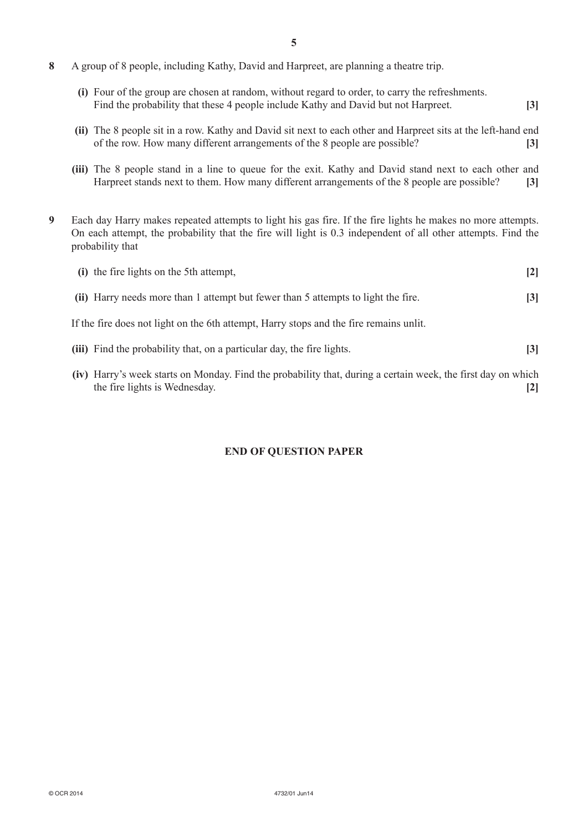- **8**  A group of 8 people, including Kathy, David and Harpreet, are planning a theatre trip.
	- **(i)** Four of the group are chosen at random, without regard to order, to carry the refreshments.  Find the probability that these 4 people include Kathy and David but not Harpreet. **[3]**
	- **(ii)** The 8 people sit in a row. Kathy and David sit next to each other and Harpreet sits at the left-hand end of the row. How many different arrangements of the 8 people are possible? **[3]**
	- **(iii)** The 8 people stand in a line to queue for the exit. Kathy and David stand next to each other and Harpreet stands next to them. How many different arrangements of the 8 people are possible? **[3]**
- **9**  Each day Harry makes repeated attempts to light his gas fire. If the fire lights he makes no more attempts. On each attempt, the probability that the fire will light is 0.3 independent of all other attempts. Find the probability that

| (i) the fire lights on the 5th attempt,                                                | <u> 2 </u>   |
|----------------------------------------------------------------------------------------|--------------|
| (ii) Harry needs more than 1 attempt but fewer than 5 attempts to light the fire.      | $\mathbf{3}$ |
| If the fire does not light on the 6th attempt, Harry stops and the fire remains unlit. |              |
| (iii) Find the probability that, on a particular day, the fire lights.                 |              |

**(iv)** Harry's week starts on Monday. Find the probability that, during a certain week, the first day on which the fire lights is Wednesday. **[2]**

#### **END OF QUESTION PAPER**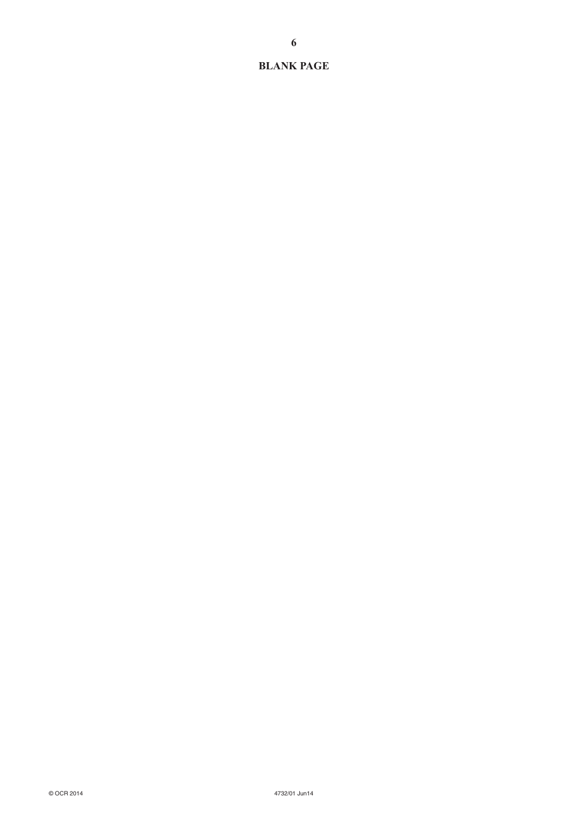#### **BLANK PAGE**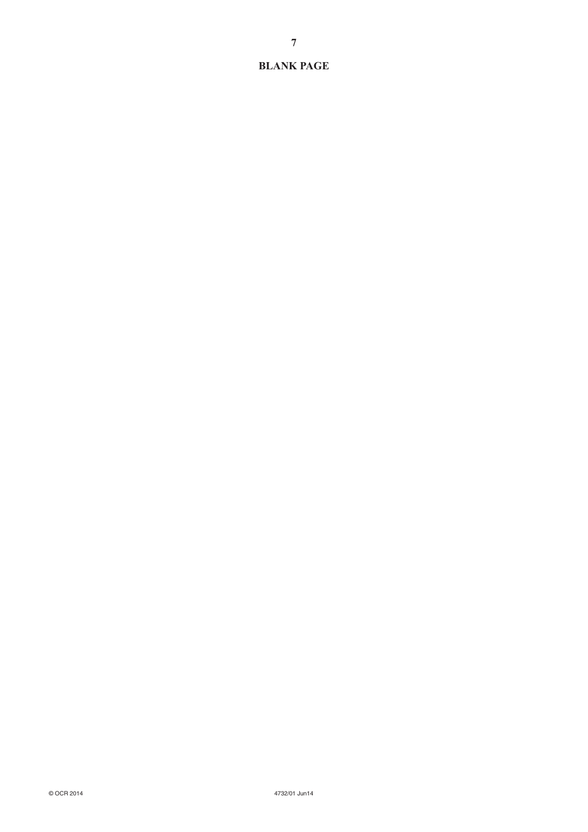#### **BLANK PAGE**